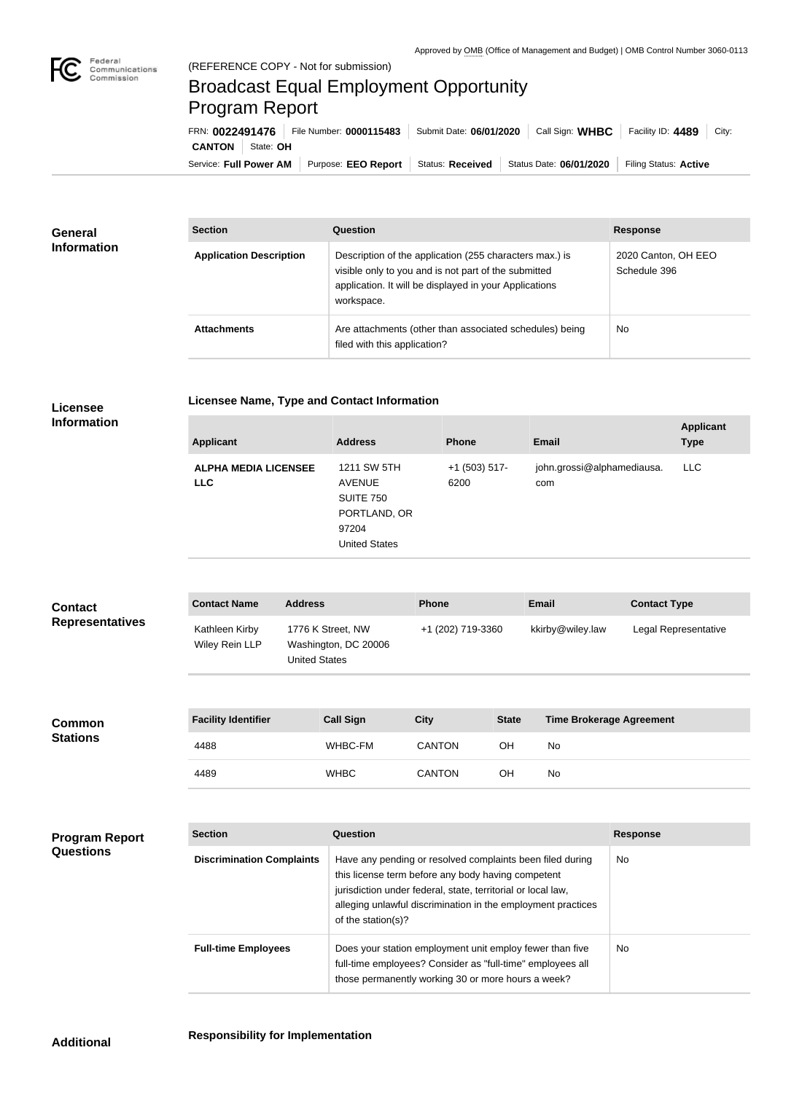

## Broadcast Equal Employment Opportunity Program Report

**Licensee Name, Type and Contact Information**

Service: Full Power AM | Purpose: EEO Report | Status: Received | Status Date: 06/01/2020 | Filing Status: Active **CANTON** State: **OH** FRN: **0022491476** File Number: **0000115483** Submit Date: **06/01/2020** Call Sign: **WHBC** Facility ID: **4489** City:

| <b>General</b><br><b>Information</b> | <b>Section</b>                 | Question                                                                                                                                                                                | <b>Response</b>                     |
|--------------------------------------|--------------------------------|-----------------------------------------------------------------------------------------------------------------------------------------------------------------------------------------|-------------------------------------|
|                                      | <b>Application Description</b> | Description of the application (255 characters max.) is<br>visible only to you and is not part of the submitted<br>application. It will be displayed in your Applications<br>workspace. | 2020 Canton, OH EEO<br>Schedule 396 |
|                                      | <b>Attachments</b>             | Are attachments (other than associated schedules) being<br>filed with this application?                                                                                                 | <b>No</b>                           |

## **Licensee Information**

| <b>Applicant</b>                          | <b>Address</b>                                                                                    | <b>Phone</b>            | <b>Email</b>                      | <b>Applicant</b><br><b>Type</b> |
|-------------------------------------------|---------------------------------------------------------------------------------------------------|-------------------------|-----------------------------------|---------------------------------|
| <b>ALPHA MEDIA LICENSEE</b><br><b>LLC</b> | 1211 SW 5TH<br><b>AVENUE</b><br><b>SUITE 750</b><br>PORTLAND, OR<br>97204<br><b>United States</b> | $+1$ (503) 517-<br>6200 | john.grossi@alphamediausa.<br>com | LLC.                            |
|                                           |                                                                                                   |                         |                                   |                                 |

| <b>Contact</b><br><b>Representatives</b> | <b>Contact Name</b>              | <b>Address</b>                                                    | <b>Phone</b>      |              | <b>Email</b>                    | <b>Contact Type</b>  |
|------------------------------------------|----------------------------------|-------------------------------------------------------------------|-------------------|--------------|---------------------------------|----------------------|
|                                          | Kathleen Kirby<br>Wiley Rein LLP | 1776 K Street, NW<br>Washington, DC 20006<br><b>United States</b> | +1 (202) 719-3360 |              | kkirby@wiley.law                | Legal Representative |
| <b>Common</b><br><b>Stations</b>         | <b>Facility Identifier</b>       | <b>Call Sign</b>                                                  | <b>City</b>       | <b>State</b> | <b>Time Brokerage Agreement</b> |                      |
|                                          | 4488                             | WHBC-FM                                                           | <b>CANTON</b>     | <b>OH</b>    | No                              |                      |
|                                          | 4489                             | <b>WHBC</b>                                                       | <b>CANTON</b>     | OH           | No                              |                      |
|                                          |                                  |                                                                   |                   |              |                                 |                      |
| <b>Program Report</b>                    | <b>Section</b>                   | Question                                                          |                   |              |                                 | <b>Response</b>      |

| ١rt | <b>Section</b>                   | Question                                                                                                                                                                                                                                                              | <b>Response</b> |
|-----|----------------------------------|-----------------------------------------------------------------------------------------------------------------------------------------------------------------------------------------------------------------------------------------------------------------------|-----------------|
|     | <b>Discrimination Complaints</b> | Have any pending or resolved complaints been filed during<br>this license term before any body having competent<br>jurisdiction under federal, state, territorial or local law,<br>alleging unlawful discrimination in the employment practices<br>of the station(s)? | No              |
|     | <b>Full-time Employees</b>       | Does your station employment unit employ fewer than five<br>full-time employees? Consider as "full-time" employees all<br>those permanently working 30 or more hours a week?                                                                                          | <b>No</b>       |

**Questions**